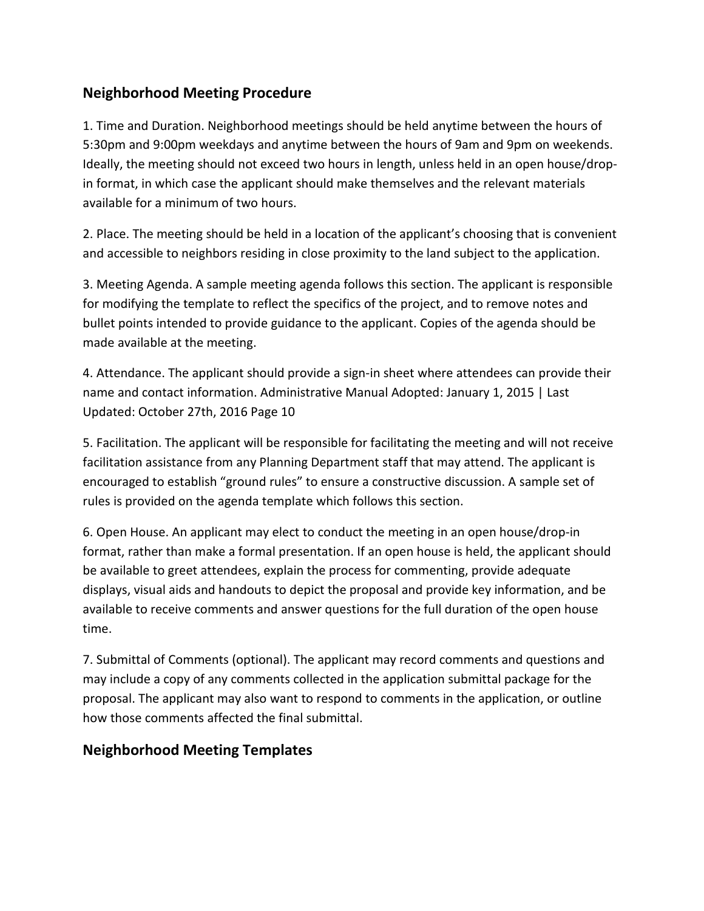# **Neighborhood Meeting Procedure**

1. Time and Duration. Neighborhood meetings should be held anytime between the hours of 5:30pm and 9:00pm weekdays and anytime between the hours of 9am and 9pm on weekends. Ideally, the meeting should not exceed two hours in length, unless held in an open house/dropin format, in which case the applicant should make themselves and the relevant materials available for a minimum of two hours.

2. Place. The meeting should be held in a location of the applicant's choosing that is convenient and accessible to neighbors residing in close proximity to the land subject to the application.

3. Meeting Agenda. A sample meeting agenda follows this section. The applicant is responsible for modifying the template to reflect the specifics of the project, and to remove notes and bullet points intended to provide guidance to the applicant. Copies of the agenda should be made available at the meeting.

4. Attendance. The applicant should provide a sign-in sheet where attendees can provide their name and contact information. Administrative Manual Adopted: January 1, 2015 | Last Updated: October 27th, 2016 Page 10

5. Facilitation. The applicant will be responsible for facilitating the meeting and will not receive facilitation assistance from any Planning Department staff that may attend. The applicant is encouraged to establish "ground rules" to ensure a constructive discussion. A sample set of rules is provided on the agenda template which follows this section.

6. Open House. An applicant may elect to conduct the meeting in an open house/drop-in format, rather than make a formal presentation. If an open house is held, the applicant should be available to greet attendees, explain the process for commenting, provide adequate displays, visual aids and handouts to depict the proposal and provide key information, and be available to receive comments and answer questions for the full duration of the open house time.

7. Submittal of Comments (optional). The applicant may record comments and questions and may include a copy of any comments collected in the application submittal package for the proposal. The applicant may also want to respond to comments in the application, or outline how those comments affected the final submittal.

## **Neighborhood Meeting Templates**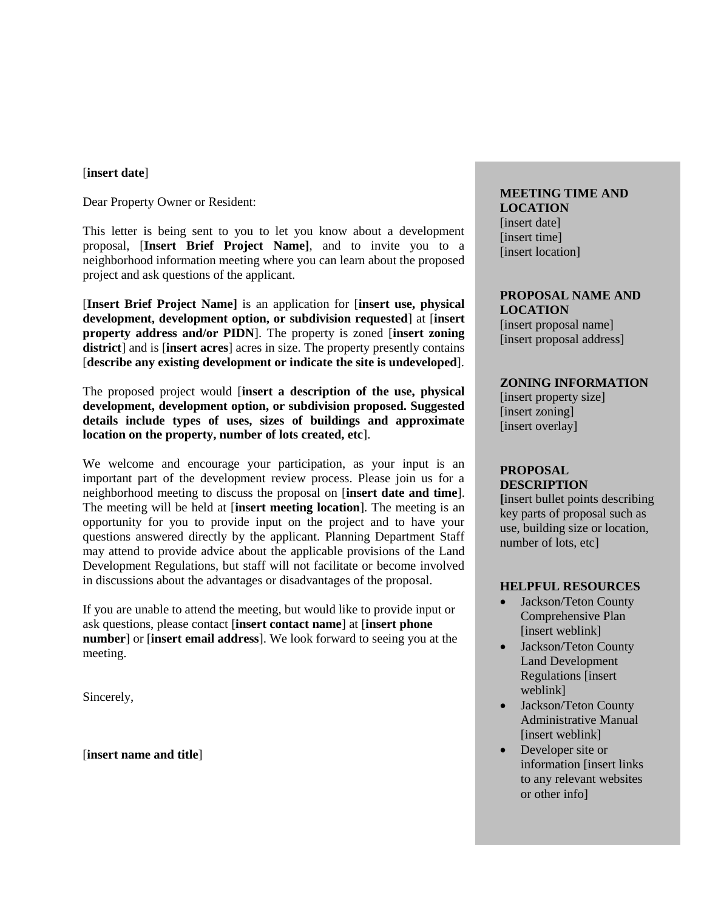#### [**insert date**]

Dear Property Owner or Resident:

This letter is being sent to you to let you know about a development proposal, [**Insert Brief Project Name]**, and to invite you to a neighborhood information meeting where you can learn about the proposed project and ask questions of the applicant.

[**Insert Brief Project Name]** is an application for [**insert use, physical development, development option, or subdivision requested**] at [**insert property address and/or PIDN**]. The property is zoned [**insert zoning district**] and is [**insert acres**] acres in size. The property presently contains [**describe any existing development or indicate the site is undeveloped**].

The proposed project would [**insert a description of the use, physical development, development option, or subdivision proposed. Suggested details include types of uses, sizes of buildings and approximate location on the property, number of lots created, etc**].

We welcome and encourage your participation, as your input is an important part of the development review process. Please join us for a neighborhood meeting to discuss the proposal on [**insert date and time**]. The meeting will be held at [**insert meeting location**]. The meeting is an opportunity for you to provide input on the project and to have your questions answered directly by the applicant. Planning Department Staff may attend to provide advice about the applicable provisions of the Land Development Regulations, but staff will not facilitate or become involved in discussions about the advantages or disadvantages of the proposal.

If you are unable to attend the meeting, but would like to provide input or ask questions, please contact [**insert contact name**] at [**insert phone number**] or [**insert email address**]. We look forward to seeing you at the meeting.

Sincerely,

[**insert name and title**]

## **MEETING TIME AND LOCATION** [insert date]

[insert time] [insert location]

**PROPOSAL NAME AND LOCATION**

[insert proposal name] [insert proposal address]

## **ZONING INFORMATION**

[insert property size] [insert zoning] [insert overlay]

## **PROPOSAL DESCRIPTION**

**[**insert bullet points describing key parts of proposal such as use, building size or location, number of lots, etc]

#### **HELPFUL RESOURCES**

- Jackson/Teton County Comprehensive Plan [insert weblink]
- Jackson/Teton County Land Development Regulations [insert weblink]
- Jackson/Teton County Administrative Manual [insert weblink]
- Developer site or information [insert links to any relevant websites or other info]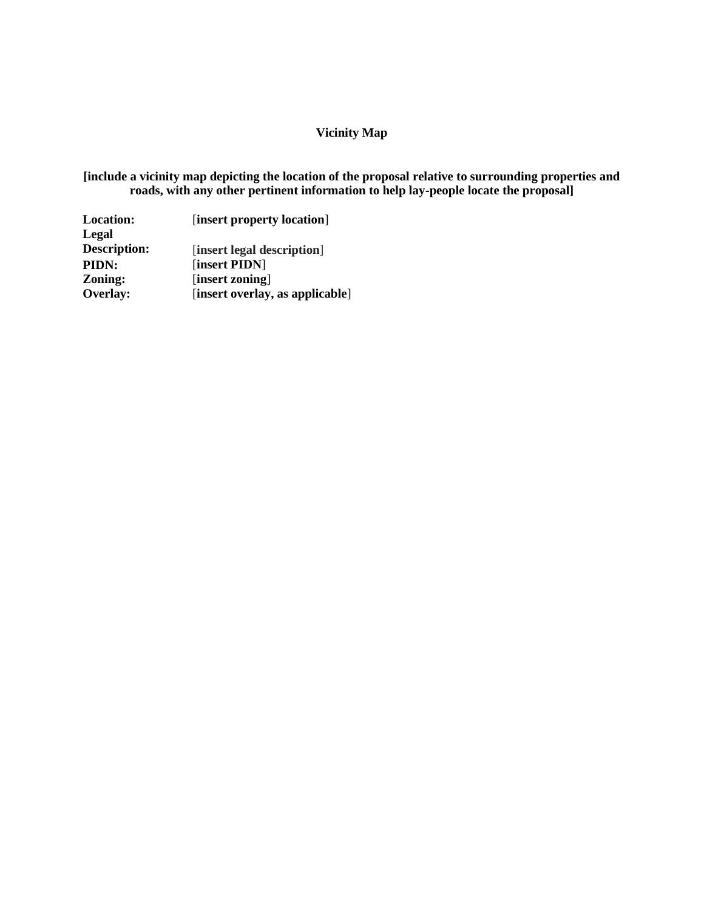## **Vicinity Map**

**[include a vicinity map depicting the location of the proposal relative to surrounding properties and roads, with any other pertinent information to help lay-people locate the proposal]**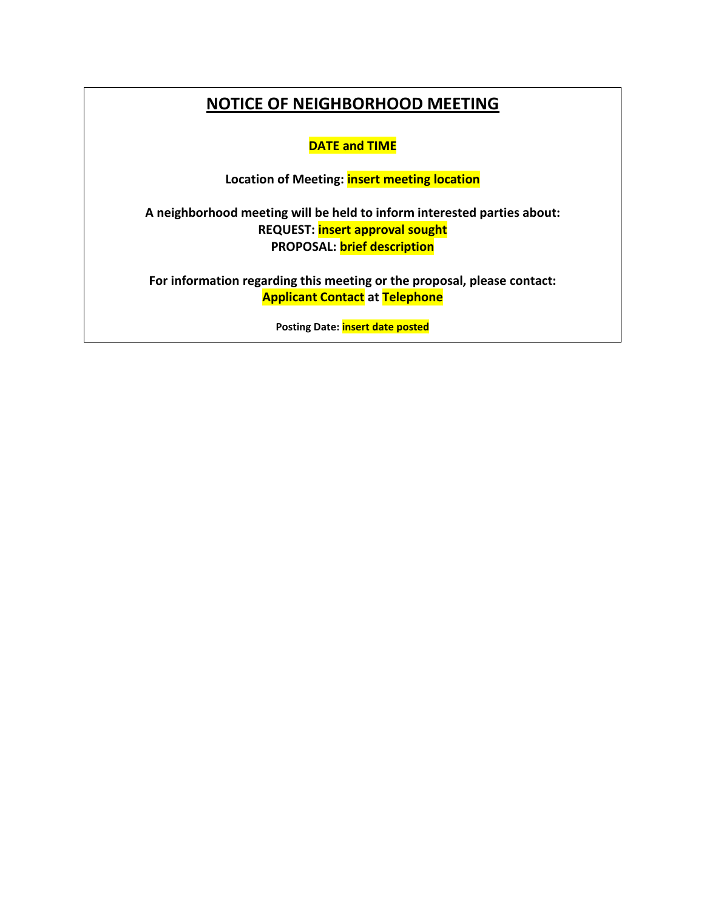# **NOTICE OF NEIGHBORHOOD MEETING**

**DATE and TIME**

**Location of Meeting: insert meeting location**

**A neighborhood meeting will be held to inform interested parties about: REQUEST: insert approval sought PROPOSAL: brief description**

**For information regarding this meeting or the proposal, please contact: Applicant Contact at Telephone**

**Posting Date: insert date posted**